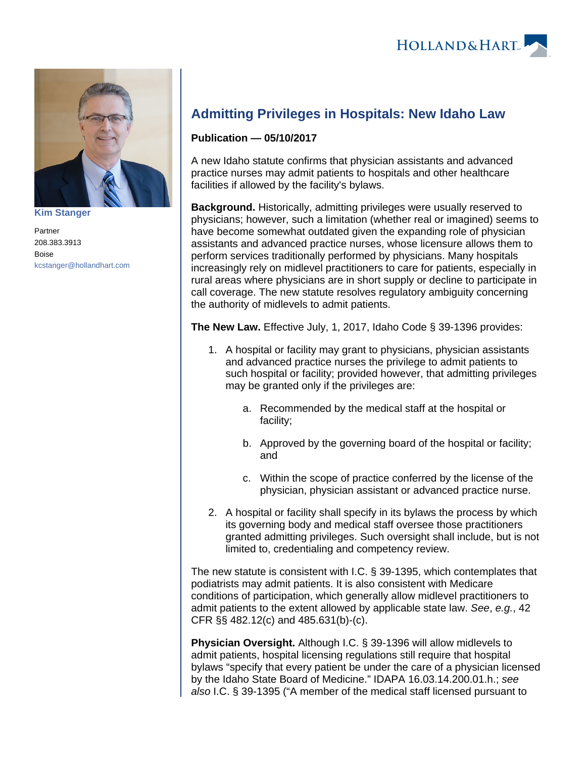

**[Kim Stanger](https://www.hollandhart.com/15954)**

Partner 208.383.3913 Boise [kcstanger@hollandhart.com](mailto:kcstanger@hollandhart.com)

## **Admitting Privileges in Hospitals: New Idaho Law**

## **Publication — 05/10/2017**

A new Idaho statute confirms that physician assistants and advanced practice nurses may admit patients to hospitals and other healthcare facilities if allowed by the facility's bylaws.

**Background.** Historically, admitting privileges were usually reserved to physicians; however, such a limitation (whether real or imagined) seems to have become somewhat outdated given the expanding role of physician assistants and advanced practice nurses, whose licensure allows them to perform services traditionally performed by physicians. Many hospitals increasingly rely on midlevel practitioners to care for patients, especially in rural areas where physicians are in short supply or decline to participate in call coverage. The new statute resolves regulatory ambiguity concerning the authority of midlevels to admit patients.

**The New Law.** Effective July, 1, 2017, Idaho Code § 39-1396 provides:

- 1. A hospital or facility may grant to physicians, physician assistants and advanced practice nurses the privilege to admit patients to such hospital or facility; provided however, that admitting privileges may be granted only if the privileges are:
	- a. Recommended by the medical staff at the hospital or facility;
	- b. Approved by the governing board of the hospital or facility; and
	- c. Within the scope of practice conferred by the license of the physician, physician assistant or advanced practice nurse.
- 2. A hospital or facility shall specify in its bylaws the process by which its governing body and medical staff oversee those practitioners granted admitting privileges. Such oversight shall include, but is not limited to, credentialing and competency review.

The new statute is consistent with I.C. § 39-1395, which contemplates that podiatrists may admit patients. It is also consistent with Medicare conditions of participation, which generally allow midlevel practitioners to admit patients to the extent allowed by applicable state law. See, e.g., 42 CFR §§ 482.12(c) and 485.631(b)-(c).

**Physician Oversight.** Although I.C. § 39-1396 will allow midlevels to admit patients, hospital licensing regulations still require that hospital bylaws "specify that every patient be under the care of a physician licensed by the Idaho State Board of Medicine." IDAPA 16.03.14.200.01.h.; see also I.C. § 39-1395 ("A member of the medical staff licensed pursuant to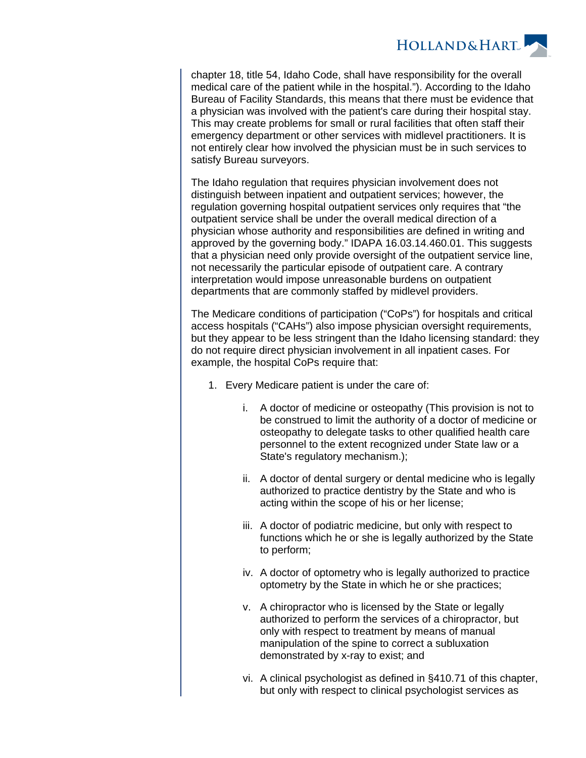

chapter 18, title 54, Idaho Code, shall have responsibility for the overall medical care of the patient while in the hospital."). According to the Idaho Bureau of Facility Standards, this means that there must be evidence that a physician was involved with the patient's care during their hospital stay. This may create problems for small or rural facilities that often staff their emergency department or other services with midlevel practitioners. It is not entirely clear how involved the physician must be in such services to satisfy Bureau surveyors.

The Idaho regulation that requires physician involvement does not distinguish between inpatient and outpatient services; however, the regulation governing hospital outpatient services only requires that "the outpatient service shall be under the overall medical direction of a physician whose authority and responsibilities are defined in writing and approved by the governing body." IDAPA 16.03.14.460.01. This suggests that a physician need only provide oversight of the outpatient service line, not necessarily the particular episode of outpatient care. A contrary interpretation would impose unreasonable burdens on outpatient departments that are commonly staffed by midlevel providers.

The Medicare conditions of participation ("CoPs") for hospitals and critical access hospitals ("CAHs") also impose physician oversight requirements, but they appear to be less stringent than the Idaho licensing standard: they do not require direct physician involvement in all inpatient cases. For example, the hospital CoPs require that:

- 1. Every Medicare patient is under the care of:
	- i. A doctor of medicine or osteopathy (This provision is not to be construed to limit the authority of a doctor of medicine or osteopathy to delegate tasks to other qualified health care personnel to the extent recognized under State law or a State's regulatory mechanism.);
	- ii. A doctor of dental surgery or dental medicine who is legally authorized to practice dentistry by the State and who is acting within the scope of his or her license;
	- iii. A doctor of podiatric medicine, but only with respect to functions which he or she is legally authorized by the State to perform;
	- iv. A doctor of optometry who is legally authorized to practice optometry by the State in which he or she practices;
	- v. A chiropractor who is licensed by the State or legally authorized to perform the services of a chiropractor, but only with respect to treatment by means of manual manipulation of the spine to correct a subluxation demonstrated by x-ray to exist; and
	- vi. A clinical psychologist as defined in §410.71 of this chapter, but only with respect to clinical psychologist services as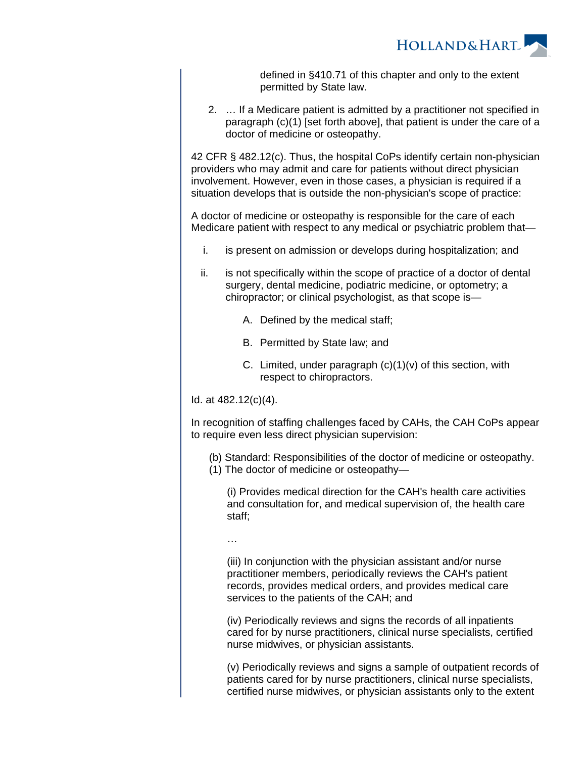

defined in §410.71 of this chapter and only to the extent permitted by State law.

2. … If a Medicare patient is admitted by a practitioner not specified in paragraph (c)(1) [set forth above], that patient is under the care of a doctor of medicine or osteopathy.

42 CFR § 482.12(c). Thus, the hospital CoPs identify certain non-physician providers who may admit and care for patients without direct physician involvement. However, even in those cases, a physician is required if a situation develops that is outside the non-physician's scope of practice:

A doctor of medicine or osteopathy is responsible for the care of each Medicare patient with respect to any medical or psychiatric problem that—

- i. is present on admission or develops during hospitalization; and
- ii. is not specifically within the scope of practice of a doctor of dental surgery, dental medicine, podiatric medicine, or optometry; a chiropractor; or clinical psychologist, as that scope is—
	- A. Defined by the medical staff;
	- B. Permitted by State law; and
	- C. Limited, under paragraph (c)(1)(v) of this section, with respect to chiropractors.

Id. at 482.12(c)(4).

In recognition of staffing challenges faced by CAHs, the CAH CoPs appear to require even less direct physician supervision:

(b) Standard: Responsibilities of the doctor of medicine or osteopathy.

(1) The doctor of medicine or osteopathy—

(i) Provides medical direction for the CAH's health care activities and consultation for, and medical supervision of, the health care staff;

…

(iii) In conjunction with the physician assistant and/or nurse practitioner members, periodically reviews the CAH's patient records, provides medical orders, and provides medical care services to the patients of the CAH; and

(iv) Periodically reviews and signs the records of all inpatients cared for by nurse practitioners, clinical nurse specialists, certified nurse midwives, or physician assistants.

(v) Periodically reviews and signs a sample of outpatient records of patients cared for by nurse practitioners, clinical nurse specialists, certified nurse midwives, or physician assistants only to the extent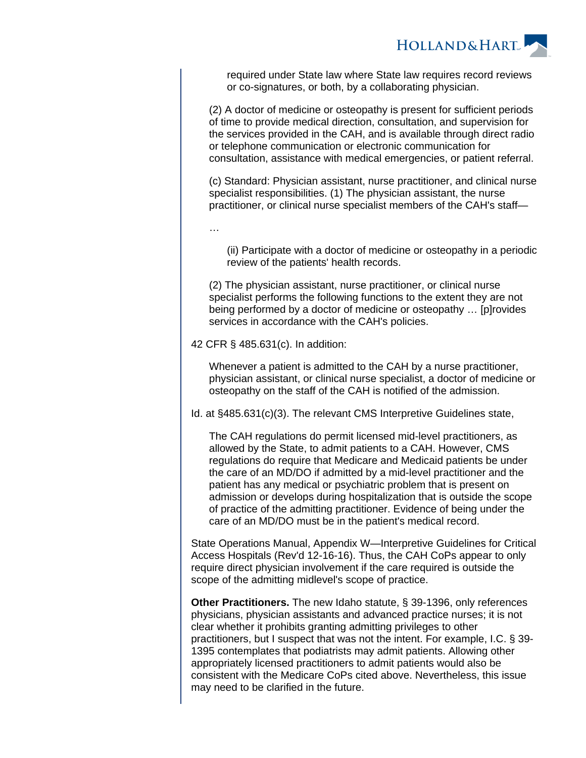

required under State law where State law requires record reviews or co-signatures, or both, by a collaborating physician.

(2) A doctor of medicine or osteopathy is present for sufficient periods of time to provide medical direction, consultation, and supervision for the services provided in the CAH, and is available through direct radio or telephone communication or electronic communication for consultation, assistance with medical emergencies, or patient referral.

(c) Standard: Physician assistant, nurse practitioner, and clinical nurse specialist responsibilities. (1) The physician assistant, the nurse practitioner, or clinical nurse specialist members of the CAH's staff—

…

(ii) Participate with a doctor of medicine or osteopathy in a periodic review of the patients' health records.

(2) The physician assistant, nurse practitioner, or clinical nurse specialist performs the following functions to the extent they are not being performed by a doctor of medicine or osteopathy … [p]rovides services in accordance with the CAH's policies.

42 CFR § 485.631(c). In addition:

Whenever a patient is admitted to the CAH by a nurse practitioner, physician assistant, or clinical nurse specialist, a doctor of medicine or osteopathy on the staff of the CAH is notified of the admission.

Id. at §485.631(c)(3). The relevant CMS Interpretive Guidelines state,

The CAH regulations do permit licensed mid-level practitioners, as allowed by the State, to admit patients to a CAH. However, CMS regulations do require that Medicare and Medicaid patients be under the care of an MD/DO if admitted by a mid-level practitioner and the patient has any medical or psychiatric problem that is present on admission or develops during hospitalization that is outside the scope of practice of the admitting practitioner. Evidence of being under the care of an MD/DO must be in the patient's medical record.

State Operations Manual, Appendix W—Interpretive Guidelines for Critical Access Hospitals (Rev'd 12-16-16). Thus, the CAH CoPs appear to only require direct physician involvement if the care required is outside the scope of the admitting midlevel's scope of practice.

**Other Practitioners.** The new Idaho statute, § 39-1396, only references physicians, physician assistants and advanced practice nurses; it is not clear whether it prohibits granting admitting privileges to other practitioners, but I suspect that was not the intent. For example, I.C. § 39- 1395 contemplates that podiatrists may admit patients. Allowing other appropriately licensed practitioners to admit patients would also be consistent with the Medicare CoPs cited above. Nevertheless, this issue may need to be clarified in the future.